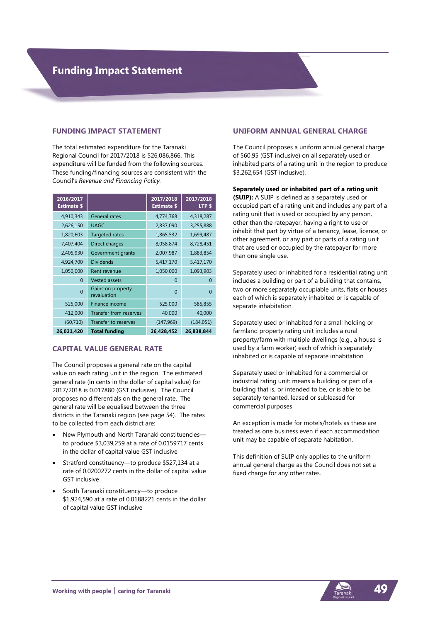#### **FUNDING IMPACT STATEMENT**

The total estimated expenditure for the Taranaki Regional Council for 2017/2018 is \$26,086,866. This expenditure will be funded from the following sources. These funding/financing sources are consistent with the Council's *Revenue and Financing Policy.* 

| 2016/2017<br><b>Estimate \$</b> |                                  | 2017/2018<br><b>Estimate \$</b> | 2017/2018<br>LTP \$ |
|---------------------------------|----------------------------------|---------------------------------|---------------------|
| 4,910,343                       | <b>General rates</b>             | 4,774,768                       | 4,318,287           |
| 2,626,150                       | <b>UAGC</b>                      | 2,837,090                       | 3,255,888           |
| 1,820,603                       | <b>Targeted rates</b>            | 1,865,532                       | 1,699,487           |
| 7,407,404                       | Direct charges                   | 8,058,874                       | 8,728,451           |
| 2,405,930                       | Government grants                | 2,007,987                       | 1,883,854           |
| 4,924,700                       | <b>Dividends</b>                 | 5,417,170                       | 5,417,170           |
| 1,050,000                       | Rent revenue                     | 1,050,000                       | 1,093,903           |
| 0                               | <b>Vested assets</b>             | $\Omega$                        | 0                   |
| $\overline{0}$                  | Gains on property<br>revaluation | $\Omega$                        | 0                   |
| 525,000                         | Finance income                   | 525,000                         | 585,855             |
| 412,000                         | Transfer from reserves           | 40,000                          | 40,000              |
| (60, 710)                       | Transfer to reserves             | (147, 969)                      | (184, 051)          |
| 26,021,420                      | <b>Total funding</b>             | 26,428,452                      | 26,838,844          |

#### **CAPITAL VALUE GENERAL RATE**

The Council proposes a general rate on the capital value on each rating unit in the region. The estimated general rate (in cents in the dollar of capital value) for 2017/2018 is 0.017880 (GST inclusive). The Council proposes no differentials on the general rate. The general rate will be equalised between the three districts in the Taranaki region (see page 54). The rates to be collected from each district are:

- New Plymouth and North Taranaki constituencies to produce \$3,039,259 at a rate of 0.0159717 cents in the dollar of capital value GST inclusive
- Stratford constituency—to produce \$527,134 at a rate of 0.0200272 cents in the dollar of capital value GST inclusive
- South Taranaki constituency—to produce \$1,924,590 at a rate of 0.0188221 cents in the dollar of capital value GST inclusive

### **UNIFORM ANNUAL GENERAL CHARGE**

The Council proposes a uniform annual general charge of \$60.95 (GST inclusive) on all separately used or inhabited parts of a rating unit in the region to produce \$3,262,654 (GST inclusive).

#### **Separately used or inhabited part of a rating unit**

**(SUIP):** A SUIP is defined as a separately used or occupied part of a rating unit and includes any part of a rating unit that is used or occupied by any person, other than the ratepayer, having a right to use or inhabit that part by virtue of a tenancy, lease, licence, or other agreement, or any part or parts of a rating unit that are used or occupied by the ratepayer for more than one single use.

Separately used or inhabited for a residential rating unit includes a building or part of a building that contains, two or more separately occupiable units, flats or houses each of which is separately inhabited or is capable of separate inhabitation

Separately used or inhabited for a small holding or farmland property rating unit includes a rural property/farm with multiple dwellings (e.g., a house is used by a farm worker) each of which is separately inhabited or is capable of separate inhabitation

Separately used or inhabited for a commercial or industrial rating unit: means a building or part of a building that is, or intended to be, or is able to be, separately tenanted, leased or subleased for commercial purposes

An exception is made for motels/hotels as these are treated as one business even if each accommodation unit may be capable of separate habitation.

This definition of SUIP only applies to the uniform annual general charge as the Council does not set a fixed charge for any other rates.

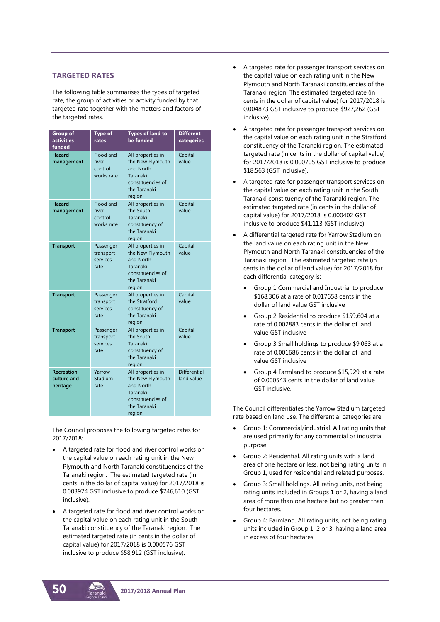### **TARGETED RATES**

The following table summarises the types of targeted rate, the group of activities or activity funded by that targeted rate together with the matters and factors of the targeted rates.

| <b>Group of</b><br>activities<br>funded | <b>Type of</b><br>rates                     | <b>Types of land to</b><br>be funded                                                                          | <b>Different</b><br>categories    |
|-----------------------------------------|---------------------------------------------|---------------------------------------------------------------------------------------------------------------|-----------------------------------|
| <b>Hazard</b><br>management             | Flood and<br>river<br>control<br>works rate | All properties in<br>the New Plymouth<br>and North<br>Taranaki<br>constituencies of<br>the Taranaki<br>region | Capital<br>value                  |
| <b>Hazard</b><br>management             | Flood and<br>river<br>control<br>works rate | All properties in<br>the South<br>Taranaki<br>constituency of<br>the Taranaki<br>region                       | Capital<br>value                  |
| <b>Transport</b>                        | Passenger<br>transport<br>services<br>rate  | All properties in<br>the New Plymouth<br>and North<br>Taranaki<br>constituencies of<br>the Taranaki<br>region | Capital<br>value                  |
| <b>Transport</b>                        | Passenger<br>transport<br>services<br>rate  | All properties in<br>the Stratford<br>constituency of<br>the Taranaki<br>region                               | Capital<br>value                  |
| <b>Transport</b>                        | Passenger<br>transport<br>services<br>rate  | All properties in<br>the South<br>Taranaki<br>constituency of<br>the Taranaki<br>region                       | Capital<br>value                  |
| Recreation,<br>culture and<br>heritage  | Yarrow<br>Stadium<br>rate                   | All properties in<br>the New Plymouth<br>and North<br>Taranaki<br>constituencies of<br>the Taranaki<br>region | <b>Differential</b><br>land value |

The Council proposes the following targeted rates for 2017/2018:

- A targeted rate for flood and river control works on the capital value on each rating unit in the New Plymouth and North Taranaki constituencies of the Taranaki region. The estimated targeted rate (in cents in the dollar of capital value) for 2017/2018 is 0.003924 GST inclusive to produce \$746,610 (GST inclusive).
- A targeted rate for flood and river control works on the capital value on each rating unit in the South Taranaki constituency of the Taranaki region. The estimated targeted rate (in cents in the dollar of capital value) for 2017/2018 is 0.000576 GST inclusive to produce \$58,912 (GST inclusive).
- A targeted rate for passenger transport services on the capital value on each rating unit in the New Plymouth and North Taranaki constituencies of the Taranaki region. The estimated targeted rate (in cents in the dollar of capital value) for 2017/2018 is 0.004873 GST inclusive to produce \$927,262 (GST inclusive).
- A targeted rate for passenger transport services on the capital value on each rating unit in the Stratford constituency of the Taranaki region. The estimated targeted rate (in cents in the dollar of capital value) for 2017/2018 is 0.000705 GST inclusive to produce \$18,563 (GST inclusive).
- A targeted rate for passenger transport services on the capital value on each rating unit in the South Taranaki constituency of the Taranaki region. The estimated targeted rate (in cents in the dollar of capital value) for 2017/2018 is 0.000402 GST inclusive to produce \$41,113 (GST inclusive).
- A differential targeted rate for Yarrow Stadium on the land value on each rating unit in the New Plymouth and North Taranaki constituencies of the Taranaki region. The estimated targeted rate (in cents in the dollar of land value) for 2017/2018 for each differential category is:
	- Group 1 Commercial and Industrial to produce \$168,306 at a rate of 0.017658 cents in the dollar of land value GST inclusive
	- Group 2 Residential to produce \$159,604 at a rate of 0.002883 cents in the dollar of land value GST inclusive
	- Group 3 Small holdings to produce \$9,063 at a rate of 0.001686 cents in the dollar of land value GST inclusive
	- Group 4 Farmland to produce \$15,929 at a rate of 0.000543 cents in the dollar of land value GST inclusive.

The Council differentiates the Yarrow Stadium targeted rate based on land use. The differential categories are:

- Group 1: Commercial/industrial. All rating units that are used primarily for any commercial or industrial purpose.
- Group 2: Residential. All rating units with a land area of one hectare or less, not being rating units in Group 1, used for residential and related purposes.
- Group 3: Small holdings. All rating units, not being rating units included in Groups 1 or 2, having a land area of more than one hectare but no greater than four hectares.
- Group 4: Farmland. All rating units, not being rating units included in Group 1, 2 or 3, having a land area in excess of four hectares.

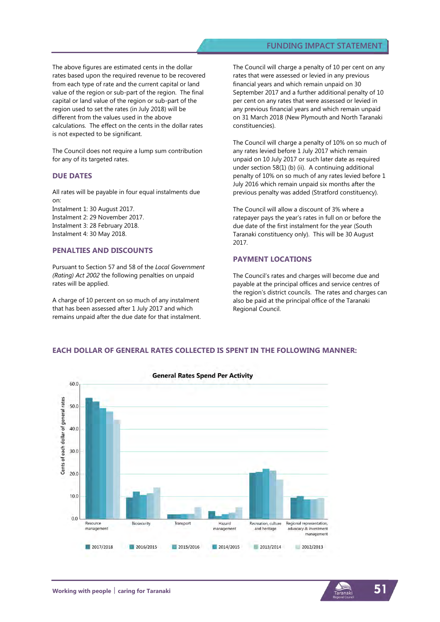### **FUNDING IMPACT STATEMENT**

The above figures are estimated cents in the dollar rates based upon the required revenue to be recovered from each type of rate and the current capital or land value of the region or sub-part of the region. The final capital or land value of the region or sub-part of the region used to set the rates (in July 2018) will be different from the values used in the above calculations. The effect on the cents in the dollar rates is not expected to be significant.

The Council does not require a lump sum contribution for any of its targeted rates.

#### **DUE DATES**

All rates will be payable in four equal instalments due on:

Instalment 1: 30 August 2017. Instalment 2: 29 November 2017. Instalment 3: 28 February 2018. Instalment 4: 30 May 2018.

#### **PENALTIES AND DISCOUNTS**

Pursuant to Section 57 and 58 of the *Local Government (Rating) Act 2002* the following penalties on unpaid rates will be applied.

A charge of 10 percent on so much of any instalment that has been assessed after 1 July 2017 and which remains unpaid after the due date for that instalment. The Council will charge a penalty of 10 per cent on any rates that were assessed or levied in any previous financial years and which remain unpaid on 30 September 2017 and a further additional penalty of 10 per cent on any rates that were assessed or levied in any previous financial years and which remain unpaid on 31 March 2018 (New Plymouth and North Taranaki constituencies).

The Council will charge a penalty of 10% on so much of any rates levied before 1 July 2017 which remain unpaid on 10 July 2017 or such later date as required under section 58(1) (b) (ii). A continuing additional penalty of 10% on so much of any rates levied before 1 July 2016 which remain unpaid six months after the previous penalty was added (Stratford constituency).

The Council will allow a discount of 3% where a ratepayer pays the year's rates in full on or before the due date of the first instalment for the year (South Taranaki constituency only). This will be 30 August 2017.

#### **PAYMENT LOCATIONS**

The Council's rates and charges will become due and payable at the principal offices and service centres of the region's district councils. The rates and charges can also be paid at the principal office of the Taranaki Regional Council.



### **EACH DOLLAR OF GENERAL RATES COLLECTED IS SPENT IN THE FOLLOWING MANNER:**

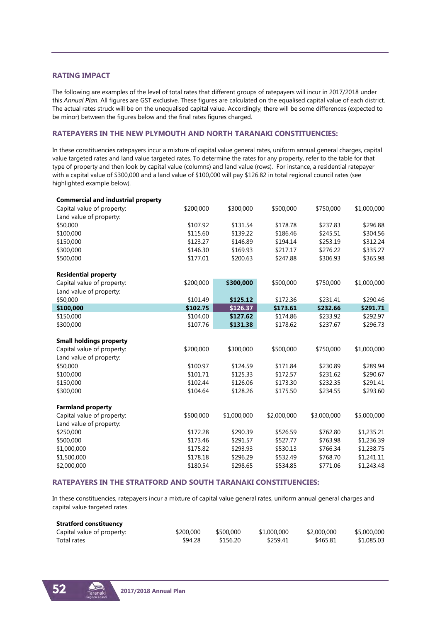### **RATING IMPACT**

The following are examples of the level of total rates that different groups of ratepayers will incur in 2017/2018 under this *Annual Plan*. All figures are GST exclusive. These figures are calculated on the equalised capital value of each district. The actual rates struck will be on the unequalised capital value. Accordingly, there will be some differences (expected to be minor) between the figures below and the final rates figures charged.

### **RATEPAYERS IN THE NEW PLYMOUTH AND NORTH TARANAKI CONSTITUENCIES:**

In these constituencies ratepayers incur a mixture of capital value general rates, uniform annual general charges, capital value targeted rates and land value targeted rates. To determine the rates for any property, refer to the table for that type of property and then look by capital value (columns) and land value (rows). For instance, a residential ratepayer with a capital value of \$300,000 and a land value of \$100,000 will pay \$126.82 in total regional council rates (see highlighted example below).

| <b>Commercial and industrial property</b> |           |             |             |             |             |
|-------------------------------------------|-----------|-------------|-------------|-------------|-------------|
| Capital value of property:                | \$200,000 | \$300,000   | \$500,000   | \$750,000   | \$1,000,000 |
| Land value of property:                   |           |             |             |             |             |
| \$50,000                                  | \$107.92  | \$131.54    | \$178.78    | \$237.83    | \$296.88    |
| \$100,000                                 | \$115.60  | \$139.22    | \$186.46    | \$245.51    | \$304.56    |
| \$150,000                                 | \$123.27  | \$146.89    | \$194.14    | \$253.19    | \$312.24    |
| \$300,000                                 | \$146.30  | \$169.93    | \$217.17    | \$276.22    | \$335.27    |
| \$500,000                                 | \$177.01  | \$200.63    | \$247.88    | \$306.93    | \$365.98    |
| <b>Residential property</b>               |           |             |             |             |             |
| Capital value of property:                | \$200,000 | \$300,000   | \$500,000   | \$750,000   | \$1,000,000 |
| Land value of property:                   |           |             |             |             |             |
| \$50,000                                  | \$101.49  | \$125.12    | \$172.36    | \$231.41    | \$290.46    |
| \$100,000                                 | \$102.75  | \$126.37    | \$173.61    | \$232.66    | \$291.71    |
| \$150,000                                 | \$104.00  | \$127.62    | \$174.86    | \$233.92    | \$292.97    |
| \$300,000                                 | \$107.76  | \$131.38    | \$178.62    | \$237.67    | \$296.73    |
| <b>Small holdings property</b>            |           |             |             |             |             |
| Capital value of property:                | \$200,000 | \$300,000   | \$500,000   | \$750,000   | \$1,000,000 |
| Land value of property:                   |           |             |             |             |             |
| \$50,000                                  | \$100.97  | \$124.59    | \$171.84    | \$230.89    | \$289.94    |
| \$100,000                                 | \$101.71  | \$125.33    | \$172.57    | \$231.62    | \$290.67    |
| \$150,000                                 | \$102.44  | \$126.06    | \$173.30    | \$232.35    | \$291.41    |
| \$300,000                                 | \$104.64  | \$128.26    | \$175.50    | \$234.55    | \$293.60    |
| <b>Farmland property</b>                  |           |             |             |             |             |
| Capital value of property:                | \$500,000 | \$1,000,000 | \$2,000,000 | \$3,000,000 | \$5,000,000 |
| Land value of property:                   |           |             |             |             |             |
| \$250,000                                 | \$172.28  | \$290.39    | \$526.59    | \$762.80    | \$1,235.21  |
| \$500,000                                 | \$173.46  | \$291.57    | \$527.77    | \$763.98    | \$1,236.39  |
| \$1,000,000                               | \$175.82  | \$293.93    | \$530.13    | \$766.34    | \$1,238.75  |
| \$1,500,000                               | \$178.18  | \$296.29    | \$532.49    | \$768.70    | \$1,241.11  |
| \$2,000,000                               | \$180.54  | \$298.65    | \$534.85    | \$771.06    | \$1,243.48  |

#### **RATEPAYERS IN THE STRATFORD AND SOUTH TARANAKI CONSTITUENCIES:**

In these constituencies, ratepayers incur a mixture of capital value general rates, uniform annual general charges and capital value targeted rates.

| <b>Stratford constituency</b> |           |           |             |             |             |
|-------------------------------|-----------|-----------|-------------|-------------|-------------|
| Capital value of property:    | \$200,000 | \$500,000 | \$1,000,000 | \$2,000,000 | \$5,000,000 |
| Total rates                   | \$94.28   | \$156.20  | \$259.41    | \$465.81    | \$1,085.03  |

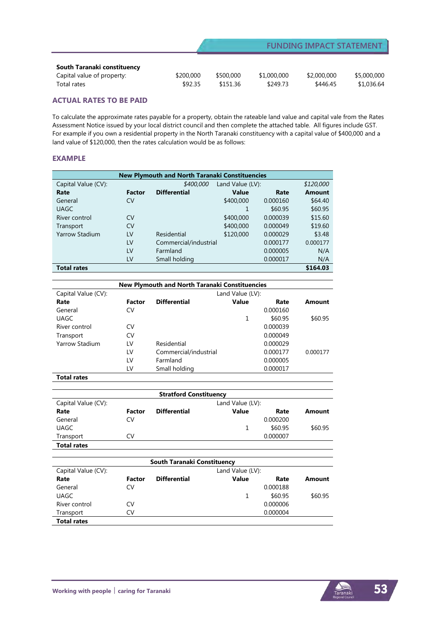| South Taranaki constituency |           |           |             |             |             |
|-----------------------------|-----------|-----------|-------------|-------------|-------------|
| Capital value of property:  | \$200,000 | \$500,000 | \$1,000,000 | \$2,000,000 | \$5,000,000 |
| Total rates                 | \$92.35   | \$151.36  | \$249.73    | \$446.45    | \$1,036.64  |

### **ACTUAL RATES TO BE PAID**

To calculate the approximate rates payable for a property, obtain the rateable land value and capital vale from the Rates Assessment Notice issued by your local district council and then complete the attached table. All figures include GST. For example if you own a residential property in the North Taranaki constituency with a capital value of \$400,000 and a land value of \$120,000, then the rates calculation would be as follows:

### **EXAMPLE**

| New Plymouth and North Taranaki Constituencies |               |                       |                  |          |               |  |
|------------------------------------------------|---------------|-----------------------|------------------|----------|---------------|--|
| Capital Value (CV):                            |               | \$400,000             | Land Value (LV): |          | \$120,000     |  |
| Rate                                           | <b>Factor</b> | <b>Differential</b>   | <b>Value</b>     | Rate     | <b>Amount</b> |  |
| General                                        | CV            |                       | \$400,000        | 0.000160 | \$64.40       |  |
| <b>UAGC</b>                                    |               |                       |                  | \$60.95  | \$60.95       |  |
| River control                                  | CV            |                       | \$400,000        | 0.000039 | \$15.60       |  |
| Transport                                      | CV            |                       | \$400,000        | 0.000049 | \$19.60       |  |
| <b>Yarrow Stadium</b>                          | LV            | Residential           | \$120,000        | 0.000029 | \$3.48        |  |
|                                                | LV            | Commercial/industrial |                  | 0.000177 | 0.000177      |  |
|                                                | LV            | Farmland              |                  | 0.000005 | N/A           |  |
|                                                | LV            | Small holding         |                  | 0.000017 | N/A           |  |
| <b>Total rates</b>                             |               |                       |                  |          | \$164.03      |  |

| <b>New Plymouth and North Taranaki Constituencies</b> |        |                       |                  |          |          |
|-------------------------------------------------------|--------|-----------------------|------------------|----------|----------|
| Capital Value (CV):                                   |        |                       | Land Value (LV): |          |          |
| Rate                                                  | Factor | <b>Differential</b>   | <b>Value</b>     | Rate     | Amount   |
| General                                               | CV     |                       |                  | 0.000160 |          |
| UAGC                                                  |        |                       | 1                | \$60.95  | \$60.95  |
| River control                                         | CV     |                       |                  | 0.000039 |          |
| Transport                                             | CV     |                       |                  | 0.000049 |          |
| Yarrow Stadium                                        | LV     | Residential           |                  | 0.000029 |          |
|                                                       | LV     | Commercial/industrial |                  | 0.000177 | 0.000177 |
|                                                       | LV     | Farmland              |                  | 0.000005 |          |
|                                                       | LV     | Small holding         |                  | 0.000017 |          |

**Total rates**

| <b>Stratford Constituency</b> |        |                           |                  |          |         |
|-------------------------------|--------|---------------------------|------------------|----------|---------|
| Capital Value (CV):           |        |                           | Land Value (LV): |          |         |
| Rate                          | Factor | <b>Differential</b>       | <b>Value</b>     | Rate     | Amount  |
| General                       | CV     |                           |                  | 0.000200 |         |
| <b>UAGC</b>                   |        |                           | 1                | \$60.95  | \$60.95 |
| Transport                     | CV     |                           |                  | 0.000007 |         |
| <b>Total rates</b>            |        |                           |                  |          |         |
|                               |        |                           |                  |          |         |
|                               |        | .<br>---<br>$\sim$ $\sim$ | .                |          |         |

|                     | South Taranaki Constituency |                     |                  |          |         |  |
|---------------------|-----------------------------|---------------------|------------------|----------|---------|--|
| Capital Value (CV): |                             |                     | Land Value (LV): |          |         |  |
| Rate                | Factor                      | <b>Differential</b> | Value            | Rate     | Amount  |  |
| General             | CV                          |                     |                  | 0.000188 |         |  |
| <b>UAGC</b>         |                             |                     | 1                | \$60.95  | \$60.95 |  |
| River control       | CV                          |                     |                  | 0.000006 |         |  |
| Transport           | CV                          |                     |                  | 0.000004 |         |  |
| <b>Total rates</b>  |                             |                     |                  |          |         |  |

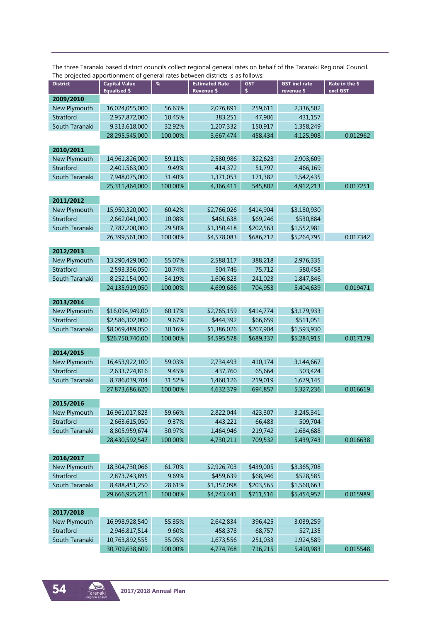|                 | The projected apportionment of general rates between districts is as follows: |         |                                     |            |                                    |                            |
|-----------------|-------------------------------------------------------------------------------|---------|-------------------------------------|------------|------------------------------------|----------------------------|
| <b>District</b> | <b>Capital Value</b><br><b>Equalised \$</b>                                   | %       | <b>Estimated Rate</b><br>Revenue \$ | <b>GST</b> | <b>GST incl rate</b><br>revenue \$ | Rate in the \$<br>excl GST |
| 2009/2010       |                                                                               |         |                                     |            |                                    |                            |
| New Plymouth    | 16,024,055,000                                                                | 56.63%  | 2,076,891                           | 259,611    | 2,336,502                          |                            |
| Stratford       | 2,957,872,000                                                                 | 10.45%  | 383,251                             | 47,906     | 431,157                            |                            |
| South Taranaki  | 9,313,618,000                                                                 | 32.92%  | 1,207,332                           | 150,917    | 1,358,249                          |                            |
|                 | 28,295,545,000                                                                | 100.00% | 3,667,474                           | 458,434    | 4,125,908                          | 0.012962                   |
| 2010/2011       |                                                                               |         |                                     |            |                                    |                            |
| New Plymouth    | 14,961,826,000                                                                | 59.11%  | 2,580,986                           | 322,623    | 2,903,609                          |                            |
| Stratford       | 2,401,563,000                                                                 | 9.49%   | 414,372                             | 51,797     | 466,169                            |                            |
| South Taranaki  | 7,948,075,000                                                                 | 31.40%  | 1,371,053                           | 171,382    | 1,542,435                          |                            |
|                 | 25,311,464,000                                                                | 100.00% | 4,366,411                           | 545,802    | 4,912,213                          | 0.017251                   |
|                 |                                                                               |         |                                     |            |                                    |                            |
| 2011/2012       |                                                                               |         |                                     |            |                                    |                            |
| New Plymouth    | 15,950,320,000                                                                | 60.42%  | \$2,766,026                         | \$414,904  | \$3,180,930                        |                            |
| Stratford       | 2,662,041,000                                                                 | 10.08%  | \$461,638                           | \$69,246   | \$530,884                          |                            |
| South Taranaki  | 7,787,200,000                                                                 | 29.50%  | \$1,350,418                         | \$202,563  | \$1,552,981                        |                            |
|                 | 26,399,561,000                                                                | 100.00% | \$4,578,083                         | \$686,712  | \$5,264,795                        | 0.017342                   |
|                 |                                                                               |         |                                     |            |                                    |                            |
| 2012/2013       |                                                                               |         |                                     |            |                                    |                            |
| New Plymouth    | 13,290,429,000                                                                | 55.07%  | 2,588,117                           | 388,218    | 2,976,335                          |                            |
| Stratford       | 2,593,336,050                                                                 | 10.74%  | 504,746                             | 75,712     | 580,458                            |                            |
| South Taranaki  | 8,252,154,000                                                                 | 34.19%  | 1,606,823                           | 241,023    | 1,847,846                          |                            |
|                 | 24,135,919,050                                                                | 100.00% | 4,699,686                           | 704,953    | 5.404.639                          | 0.019471                   |
| 2013/2014       |                                                                               |         |                                     |            |                                    |                            |
| New Plymouth    | \$16,094,949,00                                                               | 60.17%  | \$2,765,159                         | \$414,774  | \$3,179,933                        |                            |
| Stratford       | \$2,586,302,000                                                               | 9.67%   | \$444,392                           | \$66,659   | \$511,051                          |                            |
| South Taranaki  | \$8,069,489,050                                                               | 30.16%  | \$1,386,026                         | \$207,904  | \$1,593,930                        |                            |
|                 | \$26,750,740,00                                                               | 100.00% | \$4,595,578                         | \$689,337  | \$5,284,915                        | 0.017179                   |
|                 |                                                                               |         |                                     |            |                                    |                            |
| 2014/2015       |                                                                               |         |                                     |            |                                    |                            |
| New Plymouth    | 16,453,922,100                                                                | 59.03%  | 2,734,493                           | 410,174    | 3,144,667                          |                            |
| Stratford       | 2,633,724,816                                                                 | 9.45%   | 437,760                             | 65,664     | 503,424                            |                            |
| South Taranaki  | 8,786,039,704                                                                 | 31.52%  | 1,460,126                           | 219,019    | 1,679,145                          |                            |
|                 | 27,873,686,620                                                                | 100.00% | 4,632,379                           | 694,857    | 5,327,236                          | 0.016619                   |
| 2015/2016       |                                                                               |         |                                     |            |                                    |                            |
| New Plymouth    | 16,961,017,823                                                                | 59.66%  | 2,822,044                           | 423,307    | 3,245,341                          |                            |
| Stratford       | 2,663,615,050                                                                 | 9.37%   | 443,221                             | 66,483     | 509,704                            |                            |
| South Taranaki  | 8,805,959,674                                                                 | 30.97%  | 1,464,946                           | 219,742    | 1,684,688                          |                            |
|                 | 28,430,592,547                                                                | 100.00% | 4,730,211                           | 709,532    | 5,439,743                          | 0.016638                   |
|                 |                                                                               |         |                                     |            |                                    |                            |
| 2016/2017       |                                                                               |         |                                     |            |                                    |                            |
| New Plymouth    | 18,304,730,066                                                                | 61.70%  | \$2,926,703                         | \$439,005  | \$3,365,708                        |                            |
| Stratford       | 2,873,743,895                                                                 | 9.69%   | \$459,639                           | \$68,946   | \$528,585                          |                            |
| South Taranaki  | 8,488,451,250                                                                 | 28.61%  | \$1,357,098                         | \$203,565  | \$1,560,663                        |                            |
|                 | 29,666,925,211                                                                | 100.00% | \$4,743,441                         | \$711,516  | \$5,454,957                        | 0.015989                   |
|                 |                                                                               |         |                                     |            |                                    |                            |
| 2017/2018       |                                                                               |         |                                     |            |                                    |                            |
| New Plymouth    | 16,998,928,540                                                                | 55.35%  | 2,642,834                           | 396,425    | 3,039,259                          |                            |
| Stratford       | 2,946,817,514                                                                 | 9.60%   | 458,378                             | 68,757     | 527,135                            |                            |
| South Taranaki  | 10,763,892,555                                                                | 35.05%  | 1,673,556                           | 251,033    | 1,924,589                          |                            |
|                 | 30,709,638,609                                                                | 100.00% | 4,774,768                           | 716,215    | 5,490,983                          | 0.015548                   |

The three Taranaki based district councils collect regional general rates on behalf of the Taranaki Regional Council. The projected apportionment of general rates between districts is as follows:

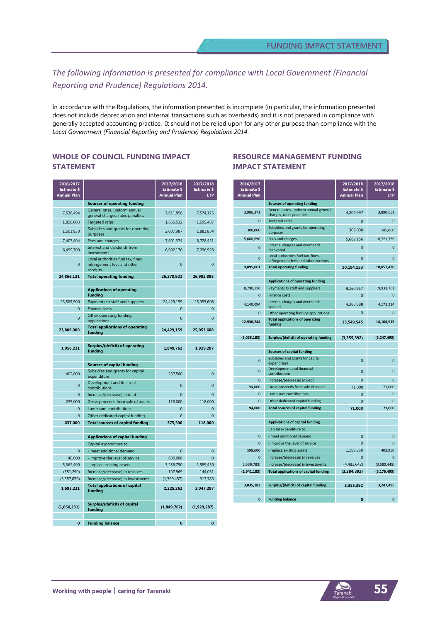# *The following information is presented for compliance with Local Government (Financial Reporting and Prudence) Regulations 2014.*

In accordance with the Regulations, the information presented is incomplete (in particular, the information presented does not include depreciation and internal transactions such as overheads) and it is not prepared in compliance with generally accepted accounting practice. It should not be relied upon for any other purpose than compliance with the *Local Government (Financial Reporting and Prudence) Regulations 2014*.

### **WHOLE OF COUNCIL FUNDING IMPACT STATEMENT**

| 2016/2017<br><b>Estimate \$</b><br><b>Annual Plan</b> |                                                                               | 2017/2018<br><b>Estimate \$</b><br><b>Annual Plan</b> | 2017/2018<br><b>Estimate \$</b><br><b>LTP</b> |
|-------------------------------------------------------|-------------------------------------------------------------------------------|-------------------------------------------------------|-----------------------------------------------|
|                                                       | <b>Sources of operating funding</b>                                           |                                                       |                                               |
| 7,536,494                                             | General rates, uniform annual<br>general charges, rates penalties             | 7,611,858                                             | 7,574,175                                     |
| 1,820,603                                             | <b>Targeted rates</b>                                                         | 1,865,532                                             | 1,699,487                                     |
| 1,601,930                                             | Subsidies and grants for operating<br>purposes                                | 2,007,987                                             | 1,883,854                                     |
| 7,407,404                                             | Fees and charges                                                              | 7,801,374                                             | 8,728,451                                     |
| 6,499,700                                             | Interest and dividends from<br>investments                                    | 6,992,170                                             | 7,096,928                                     |
| $\mathbf{0}$                                          | Local authorities fuel tax, fines,<br>infringement fees and other<br>receipts | $\overline{0}$                                        | $\mathbf{0}$                                  |
| 24,866,131                                            | <b>Total operating funding</b>                                                | 26,278,921                                            | 26,982,895                                    |
|                                                       | <b>Applications of operating</b><br>funding                                   |                                                       |                                               |
| 23,809,900                                            | Payments to staff and suppliers                                               | 24,429,159                                            | 25,053,608                                    |
| $\Omega$                                              | <b>Finance costs</b>                                                          | $\Omega$                                              | $\Omega$                                      |
| $\Omega$                                              | Other operating funding<br>applications                                       | $\overline{0}$                                        | $\Omega$                                      |
| 23,809,900                                            | <b>Total applications of operating</b><br>funding                             | 24,429,159                                            | 25,053,608                                    |
|                                                       |                                                                               |                                                       |                                               |
| 1,056,231                                             | Surplus/(deficit) of operating<br>fundina                                     | 1,849,762                                             | 1,929,287                                     |
|                                                       | <b>Sources of capital funding</b>                                             |                                                       |                                               |
|                                                       | Subsidies and grants for capital                                              |                                                       |                                               |
| 402.000                                               | expenditure<br>Development and financial                                      | 257,500                                               | $\mathbf{0}$                                  |
| 0                                                     | contributions                                                                 | 0                                                     | 0                                             |
| $\mathbf{0}$                                          | Increase/(decrease) in debt                                                   | $\Omega$                                              | $\Omega$                                      |
| 235,000                                               | Gross proceeds from sale of assets                                            | 118,000                                               | 118,000                                       |
| $\mathbf{0}$                                          | Lump sum contributions                                                        | $\Omega$                                              | $\overline{0}$                                |
| $\Omega$                                              | Other dedicated capital funding                                               | $\Omega$                                              | $\Omega$<br>118.000                           |
| 637,000                                               | <b>Total sources of capital funding</b>                                       | 375,500                                               |                                               |
|                                                       | <b>Applications of capital funding</b>                                        |                                                       |                                               |
|                                                       | Capital expenditure to:                                                       |                                                       |                                               |
| $\Omega$                                              | - meet additional demand                                                      | $\Omega$                                              | $\Omega$                                      |
| 40,000                                                | - improve the level of service                                                | 600,000                                               | $\Omega$                                      |
| 5,362,400                                             | - replace existing assets                                                     | 3,286,750                                             | 1,589,450<br>144.051                          |
| (351, 290)<br>(3,357,879)                             | Increase/(decrease) in reserves<br>Increase/(decrease) in investments         | 107.969<br>(1,769,457)                                | 313,786                                       |
| 1,693,231                                             | <b>Total applications of capital</b>                                          | 2,225,262                                             | 2,047,287                                     |
|                                                       | funding                                                                       |                                                       |                                               |
| (1,056,231)                                           | Surplus/(deficit) of capital<br>funding                                       | (1,849,762)                                           | (1,929,287)                                   |
|                                                       |                                                                               |                                                       |                                               |
| $\mathbf{0}$                                          | <b>Funding balance</b>                                                        | $\mathbf{0}$                                          | 0                                             |

### **RESOURCE MANAGEMENT FUNDING IMPACT STATEMENT**

| 2016/2017<br><b>Estimate \$</b><br><b>Annual Plan</b> |                                                                            | 2017/2018<br><b>Estimate \$</b><br><b>Annual Plan</b> | 2017/2018<br><b>Estimate \$</b><br><b>LTP</b> |
|-------------------------------------------------------|----------------------------------------------------------------------------|-------------------------------------------------------|-----------------------------------------------|
|                                                       | <b>Sources of operating funding</b>                                        |                                                       |                                               |
| 3,986,371                                             | General rates, uniform annual general<br>charges, rates penalties          | 4,209,997                                             | 3,890,651                                     |
| $\Omega$                                              | <b>Targeted rates</b>                                                      | $\Omega$                                              | $\Omega$                                      |
| 300,000                                               | Subsidies and grants for operating<br>purposes                             | 302,000                                               | 245,000                                       |
| 5,608,690                                             | Fees and charges                                                           | 5,682,156                                             | 6,721,769                                     |
| $\Omega$                                              | Internal charges and overheads<br>recovered                                | $\Omega$                                              | $\mathbf 0$                                   |
| $\overline{0}$                                        | Local authorities fuel tax, fines,<br>infringement fees and other receipts | $\mathbf 0$                                           | $\overline{0}$                                |
| 9,895,061                                             | <b>Total operating funding</b>                                             | 10,194,153                                            | 10,857,420                                    |
|                                                       |                                                                            |                                                       |                                               |
|                                                       | <b>Applications of operating funding</b>                                   |                                                       |                                               |
| 8,790,150                                             | Payments to staff and suppliers                                            | 9,160,657                                             | 9,933,701                                     |
| $\Omega$                                              | <b>Finance costs</b>                                                       | $\Omega$                                              | $\Omega$                                      |
| 4,140,094                                             | Internal charges and overheads<br>applied                                  | 4,388,888                                             | 4,171,214                                     |
| $\mathbf{0}$                                          | Other operating funding applications                                       | $\Omega$                                              | $\mathbf{0}$                                  |
| 12,930,244                                            | <b>Total applications of operating</b><br>funding                          | 13,549,545                                            | 14,104,915                                    |
|                                                       |                                                                            |                                                       |                                               |
| (3,035,183)                                           | Surplus/(deficit) of operating funding                                     | (3, 355, 392)                                         | (3, 247, 495)                                 |
|                                                       |                                                                            |                                                       |                                               |
|                                                       | <b>Sources of capital funding</b><br>Subsidies and grants for capital      |                                                       |                                               |
| $\Omega$                                              | expenditure<br>Development and financial                                   | $\mathbf 0$                                           | $\mathbf{0}$                                  |
| $\overline{0}$                                        | contributions                                                              | 0                                                     | $\overline{0}$                                |
| $\mathbf{0}$                                          | Increase/(decrease) in debt                                                | $\Omega$                                              | 0                                             |
| 94,000                                                | Gross proceeds from sale of assets                                         | 71,000                                                | 71,000                                        |
| $\bf{0}$                                              | Lump sum contributions                                                     | $\overline{0}$                                        | $\overline{0}$                                |
| $\overline{0}$                                        | Other dedicated capital funding                                            | $\Omega$                                              | $\overline{0}$                                |
| 94,000                                                | <b>Total sources of capital funding</b>                                    | 71,000                                                | 71.000                                        |
|                                                       |                                                                            |                                                       |                                               |
|                                                       | <b>Applications of capital funding</b><br>Capital expenditure to:          |                                                       |                                               |
| $\mathbf{0}$                                          | - meet additional demand                                                   | $\Omega$                                              | $\mathbf{0}$                                  |
| $\overline{0}$                                        | - improve the level of service                                             | $\mathbf 0$                                           | $\overline{0}$                                |
| 598,600                                               | - replace existing assets                                                  | 1,199,250                                             | 403,950                                       |
| $\overline{0}$                                        | Increase/(decrease) in reserves                                            | $\mathbf 0$                                           | $\overline{0}$                                |
| (3,539,783)                                           | Increase/(decrease) in investments                                         | (4,483,642)                                           | (3,580,445)                                   |
| (2,941,183)                                           | <b>Total applications of capital funding</b>                               | (3, 284, 392)                                         | (3, 176, 495)                                 |
|                                                       |                                                                            |                                                       |                                               |
| 3,035,183                                             | Surplus/(deficit) of capital funding                                       | 3,355,392                                             | 3,247,495                                     |
|                                                       |                                                                            |                                                       |                                               |
| $\mathbf{0}$                                          | <b>Funding balance</b>                                                     | 0                                                     | $\mathbf{0}$                                  |

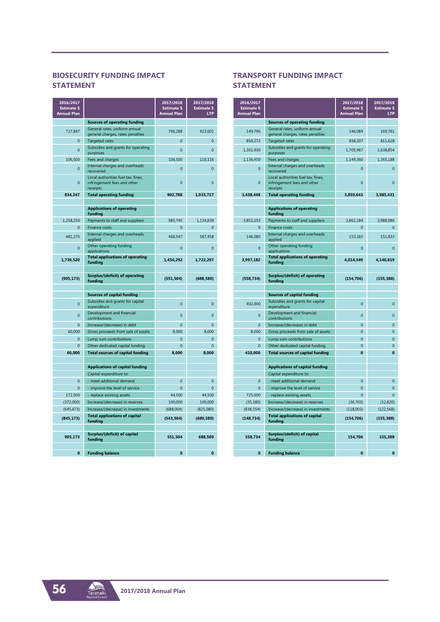# **BIOSECURITY FUNDING IMPACT STATEMENT**

| 2016/2017<br><b>Estimate \$</b><br><b>Annual Plan</b> |                                                                               | 2017/2018<br><b>Estimate \$</b><br><b>Annual Plan</b> | 2017/2018<br><b>Estimate \$</b><br><b>LTP</b> |
|-------------------------------------------------------|-------------------------------------------------------------------------------|-------------------------------------------------------|-----------------------------------------------|
|                                                       | <b>Sources of operating funding</b>                                           |                                                       |                                               |
| 727,847                                               | General rates, uniform annual<br>general charges, rates penalties             | 796,288                                               | 923,601                                       |
| $\Omega$                                              | <b>Targeted rates</b>                                                         | $\Omega$                                              | $\Omega$                                      |
| $\Omega$                                              | Subsidies and grants for operating<br>purposes                                | $\Omega$                                              | $\overline{0}$                                |
| 106,500                                               | Fees and charges                                                              | 106,500                                               | 110,116                                       |
| $\Omega$                                              | Internal charges and overheads<br>recovered                                   | $\Omega$                                              | $\overline{0}$                                |
| $\Omega$                                              | Local authorities fuel tax, fines,<br>infringement fees and other<br>receipts | $\Omega$                                              | $\Omega$                                      |
| 834,347                                               | <b>Total operating funding</b>                                                | 902,788                                               | 1,033,717                                     |
|                                                       |                                                                               |                                                       |                                               |
|                                                       | <b>Applications of operating</b><br>funding                                   |                                                       |                                               |
| 1,258,250                                             | Payments to staff and suppliers                                               | 985,745                                               | 1,134,839                                     |
| $\overline{0}$                                        | <b>Finance costs</b>                                                          | $\overline{0}$                                        | $\overline{0}$                                |
| 481,270                                               | Internal charges and overheads<br>applied                                     | 468,547                                               | 587,458                                       |
| $\Omega$                                              | Other operating funding<br>applications                                       | $\Omega$                                              | $\Omega$                                      |
| 1,739,520                                             | <b>Total applications of operating</b><br>funding                             | 1,454,292                                             | 1,722,297                                     |
|                                                       |                                                                               |                                                       |                                               |
| (905, 173)                                            | Surplus/(deficit) of operating<br>funding                                     | (551, 504)                                            | (688, 580)                                    |
|                                                       |                                                                               |                                                       |                                               |
|                                                       | <b>Sources of capital funding</b>                                             |                                                       |                                               |
| $\Omega$                                              | Subsidies and grants for capital<br>expenditure                               | $\Omega$                                              | $\overline{0}$                                |
| $\overline{0}$                                        | Development and financial<br>contributions                                    | $\overline{0}$                                        | $\overline{0}$                                |
| $\mathbf{0}$                                          | Increase/(decrease) in debt                                                   | $\Omega$                                              | $\overline{0}$                                |
| 60,000                                                | Gross proceeds from sale of assets                                            | 8,000                                                 | 8,000                                         |
| $\overline{0}$                                        | Lump sum contributions                                                        | $\overline{0}$                                        | $\overline{0}$                                |
| $\Omega$<br>60,000                                    | Other dedicated capital funding<br><b>Total sources of capital funding</b>    | $\Omega$<br>8.000                                     | $\overline{0}$<br>8,000                       |
|                                                       |                                                                               |                                                       |                                               |
|                                                       | <b>Applications of capital funding</b>                                        |                                                       |                                               |
|                                                       | Capital expenditure to:                                                       |                                                       |                                               |
| $\overline{0}$                                        | - meet additional demand                                                      | $\overline{0}$                                        | $\mathbf{0}$                                  |
| $\Omega$                                              | - improve the level of service                                                | $\Omega$                                              | $\overline{0}$                                |
| 172,500                                               | - replace existing assets                                                     | 44,500                                                | 44,500                                        |
| (372,000)                                             | Increase/(decrease) in reserves                                               | 100.000                                               | 100,000                                       |
| (645, 673)                                            | Increase/(decrease) in investments                                            | (688,004)                                             | (825,080)                                     |
| (845, 173)                                            | <b>Total applications of capital</b><br>fundina                               | (543, 504)                                            | (680, 580)                                    |
|                                                       |                                                                               |                                                       |                                               |
| 905,173                                               | Surplus/(deficit) of capital<br>funding                                       | 551,504                                               | 688,580                                       |
|                                                       |                                                                               |                                                       |                                               |
| $\mathbf{0}$                                          | <b>Funding balance</b>                                                        | $\Omega$                                              | $\Omega$                                      |

### **TRANSPORT FUNDING IMPACT STATEMENT**

| 2016/2017<br><b>Estimate \$</b><br><b>Annual Plan</b> |                                                                               | 2017/2018<br><b>Estimate \$</b><br><b>Annual Plan</b> | 2017/2018<br><b>Estimate \$</b><br><b>LTP</b> |
|-------------------------------------------------------|-------------------------------------------------------------------------------|-------------------------------------------------------|-----------------------------------------------|
|                                                       | <b>Sources of operating funding</b>                                           |                                                       |                                               |
| 149,796                                               | General rates, uniform annual                                                 | 146,089                                               | 169,761                                       |
| 850,272                                               | general charges, rates penalties<br><b>Targeted rates</b>                     | 858.207                                               | 811,628                                       |
|                                                       | Subsidies and grants for operating                                            |                                                       |                                               |
| 1.301.930                                             | purposes                                                                      | 1,705,987                                             | 1.638.854                                     |
| 1,136,450                                             | Fees and charges                                                              | 1,149,360                                             | 1,365,188                                     |
| $\overline{0}$                                        | Internal charges and overheads<br>recovered                                   | $\overline{0}$                                        | $\mathbf 0$                                   |
| $\Omega$                                              | Local authorities fuel tax, fines,<br>infringement fees and other<br>receipts | 0                                                     | 0                                             |
| 3,438,448                                             | <b>Total operating funding</b>                                                | 3,859,643                                             | 3,985,431                                     |
|                                                       |                                                                               |                                                       |                                               |
|                                                       | <b>Applications of operating</b><br>funding                                   |                                                       |                                               |
| 3,851,102                                             | Payments to staff and suppliers                                               | 3,861,184                                             | 3,988,986                                     |
| $\overline{0}$                                        | <b>Finance costs</b>                                                          | $\overline{0}$                                        | $\overline{0}$                                |
| 146.080                                               | Internal charges and overheads<br>applied                                     | 153.165                                               | 151,833                                       |
| $\overline{0}$                                        | Other operating funding<br>applications                                       | $\overline{0}$                                        | $\Omega$                                      |
| 3,997,182                                             | <b>Total applications of operating</b><br>funding                             | 4,014,349                                             | 4,140,819                                     |
|                                                       |                                                                               |                                                       |                                               |
| (558, 734)                                            | Surplus/(deficit) of operating<br>funding                                     | (154, 706)                                            | (155, 388)                                    |
|                                                       |                                                                               |                                                       |                                               |
|                                                       | <b>Sources of capital funding</b>                                             |                                                       |                                               |
| 402,000                                               | Subsidies and grants for capital<br>expenditure                               | $\overline{0}$                                        | $\overline{0}$                                |
| $\overline{0}$                                        | Development and financial<br>contributions                                    | $\overline{0}$                                        | $\overline{0}$                                |
| $\mathbf{0}$                                          | Increase/(decrease) in debt                                                   | $\overline{0}$                                        | $\overline{0}$                                |
| 8,000                                                 | Gross proceeds from sale of assets                                            | $\overline{0}$                                        | $\overline{0}$                                |
| $\Omega$                                              | Lump sum contributions                                                        | 0                                                     | 0                                             |
| $\Omega$                                              | Other dedicated capital funding                                               | $\overline{0}$                                        | $\overline{0}$                                |
| 410,000                                               | <b>Total sources of capital funding</b>                                       | O                                                     | O                                             |
|                                                       | <b>Applications of capital funding</b>                                        |                                                       |                                               |
|                                                       | Capital expenditure to:                                                       |                                                       |                                               |
| $\Omega$                                              | - meet additional demand                                                      | $\overline{0}$                                        | $\overline{0}$                                |
| $\overline{0}$                                        | - improve the level of service                                                | $\overline{0}$                                        | $\overline{0}$                                |
| 725,000                                               | - replace existing assets                                                     | $\Omega$                                              | $\Omega$                                      |
| (35, 180)                                             | Increase/(decrease) in reserves                                               | (36, 703)                                             | (32, 820)                                     |
| (838, 554)                                            | Increase/(decrease) in investments                                            | (118,003)                                             | (122, 568)                                    |
| (148, 734)                                            | <b>Total applications of capital</b><br>funding                               | (154, 706)                                            | (155, 388)                                    |
|                                                       |                                                                               |                                                       |                                               |
| 558,734                                               | Surplus/(deficit) of capital<br>funding                                       | 154,706                                               | 155,388                                       |
|                                                       |                                                                               |                                                       |                                               |
| $\mathbf{0}$                                          | <b>Funding balance</b>                                                        | $\mathbf{0}$                                          | $\mathbf{0}$                                  |

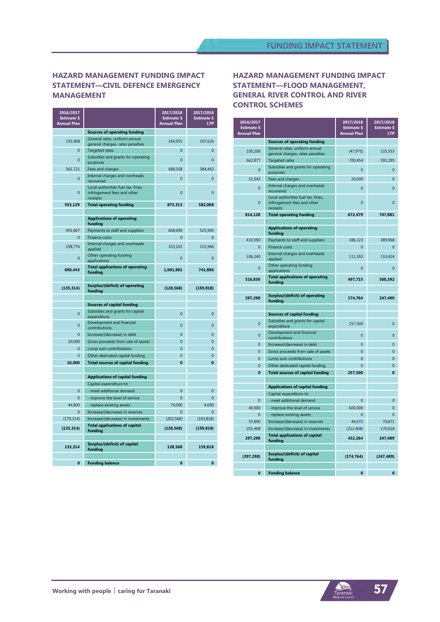# **HAZARD MANAGEMENT FUNDING IMPACT STATEMENT—CIVIL DEFENCE EMERGENCY MANAGEMENT**

| 2016/2017<br><b>Estimate \$</b><br><b>Annual Plan</b> |                                                                               | 2017/2018<br><b>Estimate \$</b><br><b>Annual Plan</b> | 2017/2018<br><b>Estimate \$</b><br><b>LTP</b> |
|-------------------------------------------------------|-------------------------------------------------------------------------------|-------------------------------------------------------|-----------------------------------------------|
|                                                       | <b>Sources of operating funding</b>                                           |                                                       |                                               |
| 193,408                                               | General rates, uniform annual<br>general charges, rates penalties             | 184,955                                               | 197,626                                       |
| $\mathbf{0}$                                          | <b>Targeted rates</b>                                                         | $\Omega$                                              | $\overline{0}$                                |
| $\overline{0}$                                        | Subsidies and grants for operating<br>purposes                                | $\Omega$                                              | $\overline{0}$                                |
| 361,721                                               | Fees and charges                                                              | 688,358                                               | 384,442                                       |
| $\Omega$                                              | Internal charges and overheads<br>recovered                                   | $\Omega$                                              | $\overline{0}$                                |
| $\overline{0}$                                        | Local authorities fuel tax, fines,<br>infringement fees and other<br>receipts | $\overline{0}$                                        | $\overline{0}$                                |
| 555,129                                               | <b>Total operating funding</b>                                                | 873,313                                               | 582.068                                       |
|                                                       |                                                                               |                                                       |                                               |
|                                                       | <b>Applications of operating</b><br>funding                                   |                                                       |                                               |
| 491,667                                               | Payments to staff and suppliers                                               | 668,690                                               | 525,940                                       |
| $\Omega$                                              | <b>Finance costs</b>                                                          | $\Omega$                                              | $\overline{0}$                                |
| 198.776                                               | Internal charges and overheads<br>applied                                     | 333.191                                               | 215.946                                       |
| 0                                                     | Other operating funding<br>applications                                       | $\Omega$                                              | $\mathbf 0$                                   |
| 690,443                                               | <b>Total applications of operating</b><br>funding                             | 1,001,881                                             | 741,886                                       |
|                                                       |                                                                               |                                                       |                                               |
| (135, 314)                                            | <b>Surplus/(deficit) of operating</b><br>funding                              | (128, 568)                                            | (159, 818)                                    |
|                                                       |                                                                               |                                                       |                                               |
|                                                       | <b>Sources of capital funding</b>                                             |                                                       |                                               |
| $\Omega$                                              | Subsidies and grants for capital<br>expenditure                               | $\Omega$                                              | $\overline{0}$                                |
| $\overline{0}$                                        | Development and financial<br>contributions                                    | $\overline{0}$                                        | $\bf{0}$                                      |
| $\overline{0}$                                        | Increase/(decrease) in debt                                                   | $\overline{0}$                                        | $\overline{0}$                                |
| 10,000                                                | Gross proceeds from sale of assets                                            | $\overline{0}$                                        | $\overline{0}$                                |
| $\mathbf{0}$                                          | Lump sum contributions                                                        | $\overline{0}$                                        | $\overline{0}$                                |
| $\Omega$                                              | Other dedicated capital funding                                               | $\Omega$                                              | $\Omega$                                      |
| 10,000                                                | <b>Total sources of capital funding</b>                                       | O                                                     | $\mathbf{0}$                                  |
|                                                       |                                                                               |                                                       |                                               |
|                                                       | <b>Applications of capital funding</b><br>Capital expenditure to:             |                                                       |                                               |
| $\overline{0}$                                        | - meet additional demand                                                      | $\overline{0}$                                        | $\overline{0}$                                |
| $\Omega$                                              | - improve the level of service                                                | $\overline{0}$                                        | $\overline{0}$                                |
| 44,800                                                | - replace existing assets                                                     | 74,000                                                | 4,000                                         |
| $\Omega$                                              | Increase/(decrease) in reserves                                               | $\Omega$                                              | $\Omega$                                      |
| (170, 114)                                            | Increase/(decrease) in investments                                            | (202, 568)                                            | (163, 818)                                    |
| (125, 314)                                            | <b>Total applications of capital</b><br>funding                               | (128, 568)                                            | (159, 818)                                    |
|                                                       |                                                                               |                                                       |                                               |
| 135,314                                               | Surplus/(deficit) of capital<br>funding                                       | 128,568                                               | 159,818                                       |
|                                                       |                                                                               |                                                       |                                               |
| $\mathbf{0}$                                          | <b>Funding balance</b>                                                        | $\mathbf{0}$                                          | $\mathbf{0}$                                  |

### **HAZARD MANAGEMENT FUNDING IMPACT STATEMENT—FLOOD MANAGEMENT, GENERAL RIVER CONTROL AND RIVER CONTROL SCHEMES**

| 2016/2017<br><b>Estimate \$</b><br><b>Annual Plan</b> |                                                                               | 2017/2018<br><b>Estimate \$</b><br><b>Annual Plan</b> | 2017/2018<br>Estimate \$<br><b>LTP</b> |
|-------------------------------------------------------|-------------------------------------------------------------------------------|-------------------------------------------------------|----------------------------------------|
|                                                       | <b>Sources of operating funding</b>                                           |                                                       |                                        |
| 100,208                                               | General rates, uniform annual<br>general charges, rates penalties             | (47, 975)                                             | 135,553                                |
| 662.877                                               | <b>Targeted rates</b>                                                         | 700.454                                               | 591,295                                |
| $\overline{0}$                                        | Subsidies and grants for operating<br>purposes                                | $\overline{0}$                                        | $\overline{0}$                         |
| 51,043                                                | Fees and charges                                                              | 20,000                                                | $\overline{0}$                         |
| $\Omega$                                              | Internal charges and overheads<br>recovered                                   | $\Omega$                                              | $\Omega$                               |
| $\Omega$                                              | Local authorities fuel tax, fines,<br>infringement fees and other<br>receipts | $\overline{0}$                                        | $\Omega$                               |
| 814,128                                               | <b>Total operating funding</b>                                                | 672,479                                               | 747.881                                |
|                                                       |                                                                               |                                                       |                                        |
|                                                       | <b>Applications of operating</b><br>funding                                   |                                                       |                                        |
| 410.590                                               | Payments to staff and suppliers                                               | 386,323                                               | 389.968                                |
| $\mathbf{0}$                                          | <b>Finance costs</b>                                                          | $\overline{0}$                                        | $\overline{0}$                         |
| 106,240                                               | Internal charges and overheads<br>applied                                     | 111,392                                               | 110,424                                |
| $\overline{0}$                                        | Other operating funding<br>applications                                       | $\overline{0}$                                        | $\overline{0}$                         |
| 516,830                                               | <b>Total applications of operating</b><br>fundina                             | 497,715                                               | 500,392                                |
|                                                       |                                                                               |                                                       |                                        |
| 297,298                                               | <b>Surplus/(deficit) of operating</b><br>funding                              | 174,764                                               | 247,489                                |
|                                                       |                                                                               |                                                       |                                        |
|                                                       | <b>Sources of capital funding</b>                                             |                                                       |                                        |
| $\overline{0}$                                        | Subsidies and grants for capital<br>expenditure                               | 257,500                                               | $\mathbf{0}$                           |
| $\Omega$                                              | Development and financial<br>contributions                                    | $\Omega$                                              | $\Omega$                               |
| $\Omega$                                              | Increase/(decrease) in debt                                                   | $\Omega$                                              | $\Omega$                               |
| $\overline{0}$                                        | Gross proceeds from sale of assets                                            | $\overline{0}$                                        | $\overline{0}$                         |
| $\mathbf{0}$                                          | Lump sum contributions                                                        | $\overline{0}$                                        | $\overline{0}$                         |
| $\Omega$                                              | Other dedicated capital funding                                               | $\Omega$                                              | $\Omega$                               |
| $\mathbf{0}$                                          | <b>Total sources of capital funding</b>                                       | 257,500                                               | O                                      |
|                                                       | <b>Applications of capital funding</b>                                        |                                                       |                                        |
|                                                       | Capital expenditure to:                                                       |                                                       |                                        |
| $\overline{0}$                                        | - meet additional demand                                                      | $\overline{0}$                                        | $\overline{0}$                         |
| 40,000                                                | - improve the level of service                                                | 600,000                                               | $\overline{0}$                         |
| $\Omega$                                              | - replace existing assets                                                     | $\Omega$                                              | $\Omega$                               |
| 55,890                                                | Increase/(decrease) in reserves                                               | 44.672                                                | 76,871                                 |
| 201.408                                               | Increase/(decrease) in investments                                            | (212, 408)                                            | 170,618                                |
| 297,298                                               | <b>Total applications of capital</b><br>funding                               | 432,264                                               | 247,489                                |
|                                                       |                                                                               |                                                       |                                        |
| (297, 298)                                            | Surplus/(deficit) of capital<br>funding                                       | (174, 764)                                            | (247, 489)                             |
|                                                       |                                                                               |                                                       |                                        |
| $\mathbf{0}$                                          | <b>Funding balance</b>                                                        | $\mathbf{0}$                                          | $\mathbf{0}$                           |